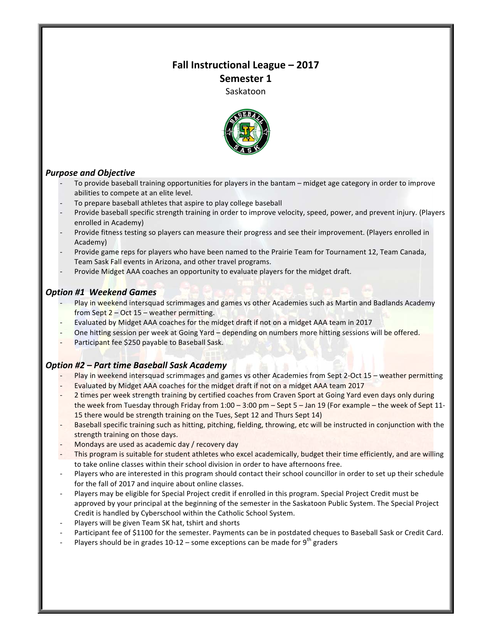# **Fall Instructional League – 2017 Semester 1**

Saskatoon



## *Purpose and Objective*

- To provide baseball training opportunities for players in the bantam midget age category in order to improve abilities to compete at an elite level.
- To prepare baseball athletes that aspire to play college baseball
- Provide baseball specific strength training in order to improve velocity, speed, power, and prevent injury. (Players enrolled in Academy)
- Provide fitness testing so players can measure their progress and see their improvement. (Players enrolled in Academy)
- Provide game reps for players who have been named to the Prairie Team for Tournament 12, Team Canada, Team Sask Fall events in Arizona, and other travel programs.
- Provide Midget AAA coaches an opportunity to evaluate players for the midget draft.

## *Option #1 Weekend Games*

- Play in weekend intersquad scrimmages and games vs other Academies such as Martin and Badlands Academy from Sept  $2 - Oct$  15 – weather permitting.
- Evaluated by Midget AAA coaches for the midget draft if not on a midget AAA team in 2017
- One hitting session per week at Going Yard depending on numbers more hitting sessions will be offered.
- Participant fee \$250 payable to Baseball Sask.

### *Option #2 – Part time Baseball Sask Academy*

- Play in weekend intersquad scrimmages and games vs other Academies from Sept 2-Oct 15 weather permitting
- Evaluated by Midget AAA coaches for the midget draft if not on a midget AAA team 2017
- 2 times per week strength training by certified coaches from Craven Sport at Going Yard even days only during the week from Tuesday through Friday from  $1:00 - 3:00$  pm – Sept 5 – Jan 19 (For example – the week of Sept 11-15 there would be strength training on the Tues, Sept 12 and Thurs Sept 14)
- Baseball specific training such as hitting, pitching, fielding, throwing, etc will be instructed in conjunction with the strength training on those days.
- Mondays are used as academic day / recovery day
- This program is suitable for student athletes who excel academically, budget their time efficiently, and are willing to take online classes within their school division in order to have afternoons free.
- Players who are interested in this program should contact their school councillor in order to set up their schedule for the fall of 2017 and inquire about online classes.
- Players may be eligible for Special Project credit if enrolled in this program. Special Project Credit must be approved by your principal at the beginning of the semester in the Saskatoon Public System. The Special Project Credit is handled by Cyberschool within the Catholic School System.
- Players will be given Team SK hat, tshirt and shorts
- Participant fee of \$1100 for the semester. Payments can be in postdated cheques to Baseball Sask or Credit Card.
- Players should be in grades  $10-12$  some exceptions can be made for 9<sup>th</sup> graders